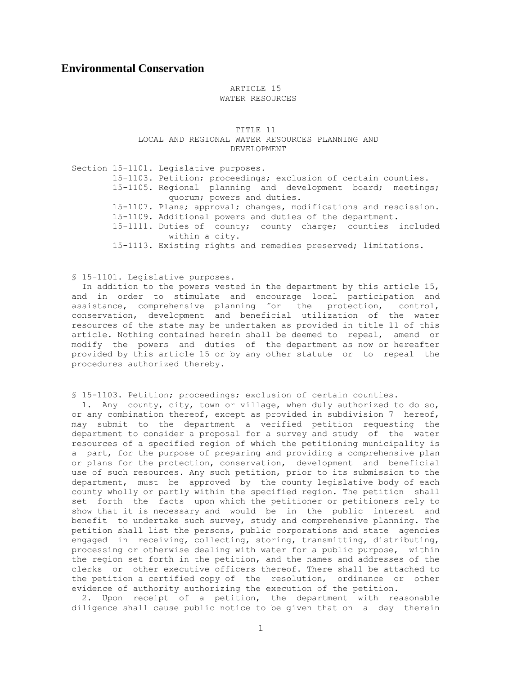## **Environmental Conservation**

## ARTICLE 15 WATER RESOURCES

 TITLE 11 LOCAL AND REGIONAL WATER RESOURCES PLANNING AND DEVELOPMENT

 Section 15-1101. Legislative purposes. 15-1103. Petition; proceedings; exclusion of certain counties. 15-1105. Regional planning and development board; meetings; quorum; powers and duties. 15-1107. Plans; approval; changes, modifications and rescission. 15-1109. Additional powers and duties of the department. 15-1111. Duties of county; county charge; counties included within a city. 15-1113. Existing rights and remedies preserved; limitations.

§ 15-1101. Legislative purposes.

 In addition to the powers vested in the department by this article 15, and in order to stimulate and encourage local participation and assistance, comprehensive planning for the protection, control, conservation, development and beneficial utilization of the water resources of the state may be undertaken as provided in title 11 of this article. Nothing contained herein shall be deemed to repeal, amend or modify the powers and duties of the department as now or hereafter provided by this article 15 or by any other statute or to repeal the procedures authorized thereby.

§ 15-1103. Petition; proceedings; exclusion of certain counties.

 1. Any county, city, town or village, when duly authorized to do so, or any combination thereof, except as provided in subdivision 7 hereof, may submit to the department a verified petition requesting the department to consider a proposal for a survey and study of the water resources of a specified region of which the petitioning municipality is a part, for the purpose of preparing and providing a comprehensive plan or plans for the protection, conservation, development and beneficial use of such resources. Any such petition, prior to its submission to the department, must be approved by the county legislative body of each county wholly or partly within the specified region. The petition shall set forth the facts upon which the petitioner or petitioners rely to show that it is necessary and would be in the public interest and benefit to undertake such survey, study and comprehensive planning. The petition shall list the persons, public corporations and state agencies engaged in receiving, collecting, storing, transmitting, distributing, processing or otherwise dealing with water for a public purpose, within the region set forth in the petition, and the names and addresses of the clerks or other executive officers thereof. There shall be attached to the petition a certified copy of the resolution, ordinance or other evidence of authority authorizing the execution of the petition.

 2. Upon receipt of a petition, the department with reasonable diligence shall cause public notice to be given that on a day therein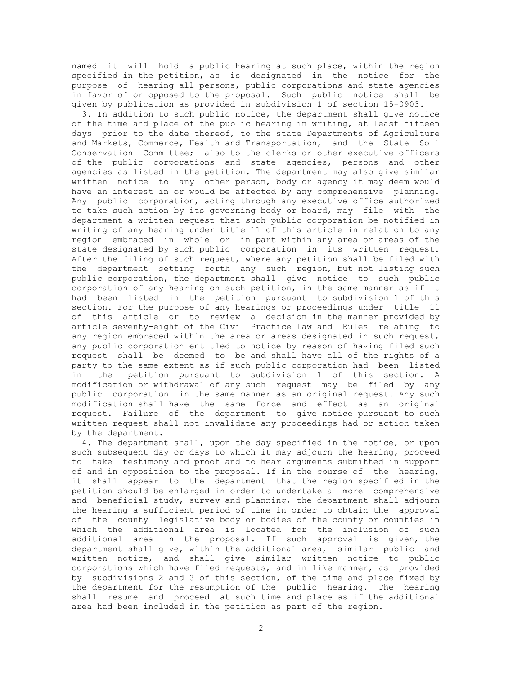named it will hold a public hearing at such place, within the region specified in the petition, as is designated in the notice for the purpose of hearing all persons, public corporations and state agencies in favor of or opposed to the proposal. Such public notice shall be given by publication as provided in subdivision 1 of section 15-0903.

 3. In addition to such public notice, the department shall give notice of the time and place of the public hearing in writing, at least fifteen days prior to the date thereof, to the state Departments of Agriculture and Markets, Commerce, Health and Transportation, and the State Soil Conservation Committee; also to the clerks or other executive officers of the public corporations and state agencies, persons and other agencies as listed in the petition. The department may also give similar written notice to any other person, body or agency it may deem would have an interest in or would be affected by any comprehensive planning. Any public corporation, acting through any executive office authorized to take such action by its governing body or board, may file with the department a written request that such public corporation be notified in writing of any hearing under title 11 of this article in relation to any region embraced in whole or in part within any area or areas of the state designated by such public corporation in its written request. After the filing of such request, where any petition shall be filed with the department setting forth any such region, but not listing such public corporation, the department shall give notice to such public corporation of any hearing on such petition, in the same manner as if it had been listed in the petition pursuant to subdivision 1 of this section. For the purpose of any hearings or proceedings under title 11 of this article or to review a decision in the manner provided by article seventy-eight of the Civil Practice Law and Rules relating to any region embraced within the area or areas designated in such request, any public corporation entitled to notice by reason of having filed such request shall be deemed to be and shall have all of the rights of a party to the same extent as if such public corporation had been listed in the petition pursuant to subdivision 1 of this section. A modification or withdrawal of any such request may be filed by any public corporation in the same manner as an original request. Any such modification shall have the same force and effect as an original request. Failure of the department to give notice pursuant to such written request shall not invalidate any proceedings had or action taken by the department.

 4. The department shall, upon the day specified in the notice, or upon such subsequent day or days to which it may adjourn the hearing, proceed to take testimony and proof and to hear arguments submitted in support of and in opposition to the proposal. If in the course of the hearing, it shall appear to the department that the region specified in the petition should be enlarged in order to undertake a more comprehensive and beneficial study, survey and planning, the department shall adjourn the hearing a sufficient period of time in order to obtain the approval of the county legislative body or bodies of the county or counties in which the additional area is located for the inclusion of such additional area in the proposal. If such approval is given, the department shall give, within the additional area, similar public and written notice, and shall give similar written notice to public corporations which have filed requests, and in like manner, as provided by subdivisions 2 and 3 of this section, of the time and place fixed by the department for the resumption of the public hearing. The hearing shall resume and proceed at such time and place as if the additional area had been included in the petition as part of the region.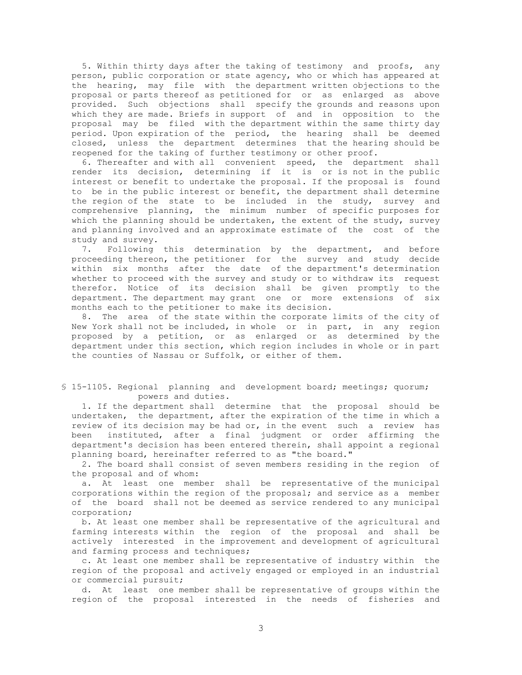5. Within thirty days after the taking of testimony and proofs, any person, public corporation or state agency, who or which has appeared at the hearing, may file with the department written objections to the proposal or parts thereof as petitioned for or as enlarged as above provided. Such objections shall specify the grounds and reasons upon which they are made. Briefs in support of and in opposition to the proposal may be filed with the department within the same thirty day period. Upon expiration of the period, the hearing shall be deemed closed, unless the department determines that the hearing should be reopened for the taking of further testimony or other proof.

 6. Thereafter and with all convenient speed, the department shall render its decision, determining if it is or is not in the public interest or benefit to undertake the proposal. If the proposal is found to be in the public interest or benefit, the department shall determine the region of the state to be included in the study, survey and comprehensive planning, the minimum number of specific purposes for which the planning should be undertaken, the extent of the study, survey and planning involved and an approximate estimate of the cost of the study and survey.

 7. Following this determination by the department, and before proceeding thereon, the petitioner for the survey and study decide within six months after the date of the department's determination whether to proceed with the survey and study or to withdraw its request therefor. Notice of its decision shall be given promptly to the department. The department may grant one or more extensions of six months each to the petitioner to make its decision.

 8. The area of the state within the corporate limits of the city of New York shall not be included, in whole or in part, in any region proposed by a petition, or as enlarged or as determined by the department under this section, which region includes in whole or in part the counties of Nassau or Suffolk, or either of them.

## § 15-1105. Regional planning and development board; meetings; quorum; powers and duties.

 1. If the department shall determine that the proposal should be undertaken, the department, after the expiration of the time in which a review of its decision may be had or, in the event such a review has been instituted, after a final judgment or order affirming the department's decision has been entered therein, shall appoint a regional planning board, hereinafter referred to as "the board."

 2. The board shall consist of seven members residing in the region of the proposal and of whom:

 a. At least one member shall be representative of the municipal corporations within the region of the proposal; and service as a member of the board shall not be deemed as service rendered to any municipal corporation;

 b. At least one member shall be representative of the agricultural and farming interests within the region of the proposal and shall be actively interested in the improvement and development of agricultural and farming process and techniques;

 c. At least one member shall be representative of industry within the region of the proposal and actively engaged or employed in an industrial or commercial pursuit;

 d. At least one member shall be representative of groups within the region of the proposal interested in the needs of fisheries and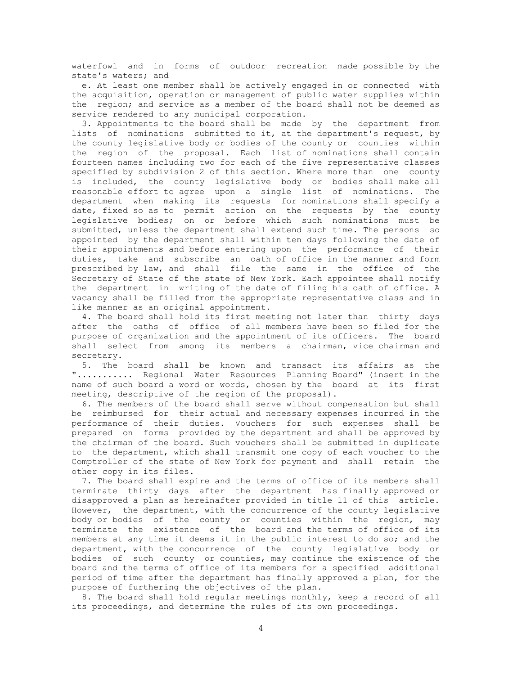waterfowl and in forms of outdoor recreation made possible by the state's waters; and

 e. At least one member shall be actively engaged in or connected with the acquisition, operation or management of public water supplies within the region; and service as a member of the board shall not be deemed as service rendered to any municipal corporation.

 3. Appointments to the board shall be made by the department from lists of nominations submitted to it, at the department's request, by the county legislative body or bodies of the county or counties within the region of the proposal. Each list of nominations shall contain fourteen names including two for each of the five representative classes specified by subdivision 2 of this section. Where more than one county is included, the county legislative body or bodies shall make all reasonable effort to agree upon a single list of nominations. The department when making its requests for nominations shall specify a date, fixed so as to permit action on the requests by the county legislative bodies; on or before which such nominations must be submitted, unless the department shall extend such time. The persons so appointed by the department shall within ten days following the date of their appointments and before entering upon the performance of their duties, take and subscribe an oath of office in the manner and form prescribed by law, and shall file the same in the office of the Secretary of State of the state of New York. Each appointee shall notify the department in writing of the date of filing his oath of office. A vacancy shall be filled from the appropriate representative class and in like manner as an original appointment.

 4. The board shall hold its first meeting not later than thirty days after the oaths of office of all members have been so filed for the purpose of organization and the appointment of its officers. The board shall select from among its members a chairman, vice chairman and secretary.

 5. The board shall be known and transact its affairs as the "........... Regional Water Resources Planning Board" (insert in the name of such board a word or words, chosen by the board at its first meeting, descriptive of the region of the proposal).

 6. The members of the board shall serve without compensation but shall be reimbursed for their actual and necessary expenses incurred in the performance of their duties. Vouchers for such expenses shall be prepared on forms provided by the department and shall be approved by the chairman of the board. Such vouchers shall be submitted in duplicate to the department, which shall transmit one copy of each voucher to the Comptroller of the state of New York for payment and shall retain the other copy in its files.

 7. The board shall expire and the terms of office of its members shall terminate thirty days after the department has finally approved or disapproved a plan as hereinafter provided in title 11 of this article. However, the department, with the concurrence of the county legislative body or bodies of the county or counties within the region, may terminate the existence of the board and the terms of office of its members at any time it deems it in the public interest to do so; and the department, with the concurrence of the county legislative body or bodies of such county or counties, may continue the existence of the board and the terms of office of its members for a specified additional period of time after the department has finally approved a plan, for the purpose of furthering the objectives of the plan.

 8. The board shall hold regular meetings monthly, keep a record of all its proceedings, and determine the rules of its own proceedings.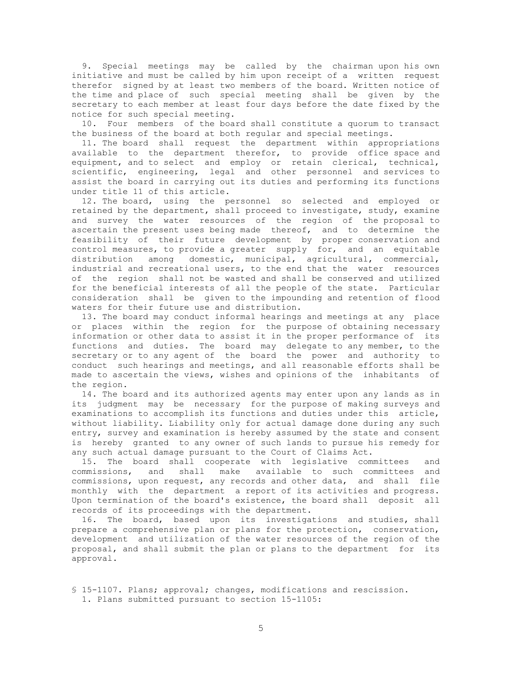9. Special meetings may be called by the chairman upon his own initiative and must be called by him upon receipt of a written request therefor signed by at least two members of the board. Written notice of the time and place of such special meeting shall be given by the secretary to each member at least four days before the date fixed by the notice for such special meeting.

 10. Four members of the board shall constitute a quorum to transact the business of the board at both regular and special meetings.

 11. The board shall request the department within appropriations available to the department therefor, to provide office space and equipment, and to select and employ or retain clerical, technical, scientific, engineering, legal and other personnel and services to assist the board in carrying out its duties and performing its functions under title 11 of this article.

 12. The board, using the personnel so selected and employed or retained by the department, shall proceed to investigate, study, examine and survey the water resources of the region of the proposal to ascertain the present uses being made thereof, and to determine the feasibility of their future development by proper conservation and control measures, to provide a greater supply for, and an equitable distribution among domestic, municipal, agricultural, commercial, industrial and recreational users, to the end that the water resources of the region shall not be wasted and shall be conserved and utilized for the beneficial interests of all the people of the state. Particular consideration shall be given to the impounding and retention of flood waters for their future use and distribution.

 13. The board may conduct informal hearings and meetings at any place or places within the region for the purpose of obtaining necessary information or other data to assist it in the proper performance of its functions and duties. The board may delegate to any member, to the secretary or to any agent of the board the power and authority to conduct such hearings and meetings, and all reasonable efforts shall be made to ascertain the views, wishes and opinions of the inhabitants of the region.

 14. The board and its authorized agents may enter upon any lands as in its judgment may be necessary for the purpose of making surveys and examinations to accomplish its functions and duties under this article, without liability. Liability only for actual damage done during any such entry, survey and examination is hereby assumed by the state and consent is hereby granted to any owner of such lands to pursue his remedy for any such actual damage pursuant to the Court of Claims Act.

 15. The board shall cooperate with legislative committees and commissions, and shall make available to such committees and commissions, upon request, any records and other data, and shall file monthly with the department a report of its activities and progress. Upon termination of the board's existence, the board shall deposit all records of its proceedings with the department.

 16. The board, based upon its investigations and studies, shall prepare a comprehensive plan or plans for the protection, conservation, development and utilization of the water resources of the region of the proposal, and shall submit the plan or plans to the department for its approval.

 § 15-1107. Plans; approval; changes, modifications and rescission. 1. Plans submitted pursuant to section 15-1105: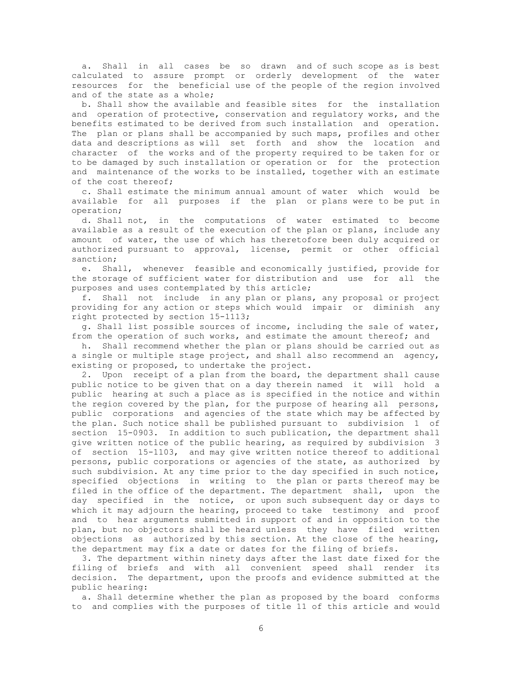a. Shall in all cases be so drawn and of such scope as is best calculated to assure prompt or orderly development of the water resources for the beneficial use of the people of the region involved and of the state as a whole;

 b. Shall show the available and feasible sites for the installation and operation of protective, conservation and regulatory works, and the benefits estimated to be derived from such installation and operation. The plan or plans shall be accompanied by such maps, profiles and other data and descriptions as will set forth and show the location and character of the works and of the property required to be taken for or to be damaged by such installation or operation or for the protection and maintenance of the works to be installed, together with an estimate of the cost thereof;

 c. Shall estimate the minimum annual amount of water which would be available for all purposes if the plan or plans were to be put in operation;

 d. Shall not, in the computations of water estimated to become available as a result of the execution of the plan or plans, include any amount of water, the use of which has theretofore been duly acquired or authorized pursuant to approval, license, permit or other official sanction;

 e. Shall, whenever feasible and economically justified, provide for the storage of sufficient water for distribution and use for all the purposes and uses contemplated by this article;

 f. Shall not include in any plan or plans, any proposal or project providing for any action or steps which would impair or diminish any right protected by section 15-1113;

 g. Shall list possible sources of income, including the sale of water, from the operation of such works, and estimate the amount thereof; and

 h. Shall recommend whether the plan or plans should be carried out as a single or multiple stage project, and shall also recommend an agency, existing or proposed, to undertake the project.

 2. Upon receipt of a plan from the board, the department shall cause public notice to be given that on a day therein named it will hold a public hearing at such a place as is specified in the notice and within the region covered by the plan, for the purpose of hearing all persons, public corporations and agencies of the state which may be affected by the plan. Such notice shall be published pursuant to subdivision 1 of section 15-0903. In addition to such publication, the department shall give written notice of the public hearing, as required by subdivision 3 of section 15-1103, and may give written notice thereof to additional persons, public corporations or agencies of the state, as authorized by such subdivision. At any time prior to the day specified in such notice, specified objections in writing to the plan or parts thereof may be filed in the office of the department. The department shall, upon the day specified in the notice, or upon such subsequent day or days to which it may adjourn the hearing, proceed to take testimony and proof and to hear arguments submitted in support of and in opposition to the plan, but no objectors shall be heard unless they have filed written objections as authorized by this section. At the close of the hearing, the department may fix a date or dates for the filing of briefs.

 3. The department within ninety days after the last date fixed for the filing of briefs and with all convenient speed shall render its decision. The department, upon the proofs and evidence submitted at the public hearing:

 a. Shall determine whether the plan as proposed by the board conforms to and complies with the purposes of title 11 of this article and would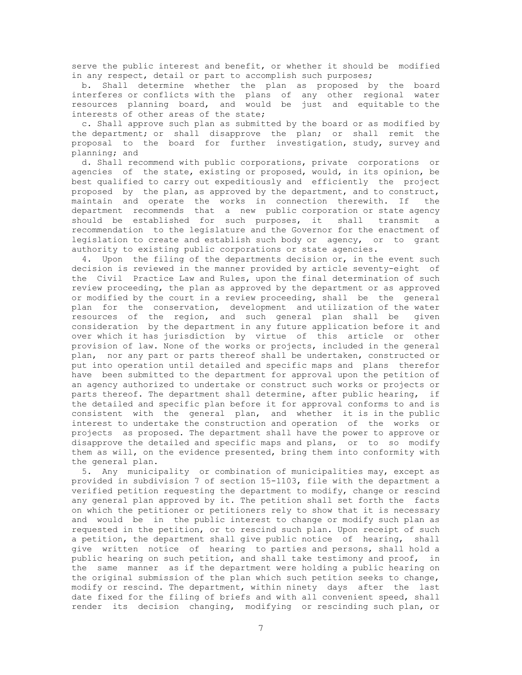serve the public interest and benefit, or whether it should be modified in any respect, detail or part to accomplish such purposes;

 b. Shall determine whether the plan as proposed by the board interferes or conflicts with the plans of any other regional water resources planning board, and would be just and equitable to the interests of other areas of the state;

 c. Shall approve such plan as submitted by the board or as modified by the department; or shall disapprove the plan; or shall remit the proposal to the board for further investigation, study, survey and planning; and

 d. Shall recommend with public corporations, private corporations or agencies of the state, existing or proposed, would, in its opinion, be best qualified to carry out expeditiously and efficiently the project proposed by the plan, as approved by the department, and to construct, maintain and operate the works in connection therewith. If the department recommends that a new public corporation or state agency should be established for such purposes, it shall transmit a recommendation to the legislature and the Governor for the enactment of legislation to create and establish such body or agency, or to grant authority to existing public corporations or state agencies.

 4. Upon the filing of the departments decision or, in the event such decision is reviewed in the manner provided by article seventy-eight of the Civil Practice Law and Rules, upon the final determination of such review proceeding, the plan as approved by the department or as approved or modified by the court in a review proceeding, shall be the general plan for the conservation, development and utilization of the water resources of the region, and such general plan shall be given consideration by the department in any future application before it and over which it has jurisdiction by virtue of this article or other provision of law. None of the works or projects, included in the general plan, nor any part or parts thereof shall be undertaken, constructed or put into operation until detailed and specific maps and plans therefor have been submitted to the department for approval upon the petition of an agency authorized to undertake or construct such works or projects or parts thereof. The department shall determine, after public hearing, if the detailed and specific plan before it for approval conforms to and is consistent with the general plan, and whether it is in the public interest to undertake the construction and operation of the works or projects as proposed. The department shall have the power to approve or disapprove the detailed and specific maps and plans, or to so modify them as will, on the evidence presented, bring them into conformity with the general plan.

 5. Any municipality or combination of municipalities may, except as provided in subdivision 7 of section 15-1103, file with the department a verified petition requesting the department to modify, change or rescind any general plan approved by it. The petition shall set forth the facts on which the petitioner or petitioners rely to show that it is necessary and would be in the public interest to change or modify such plan as requested in the petition, or to rescind such plan. Upon receipt of such a petition, the department shall give public notice of hearing, shall give written notice of hearing to parties and persons, shall hold a public hearing on such petition, and shall take testimony and proof, in the same manner as if the department were holding a public hearing on the original submission of the plan which such petition seeks to change, modify or rescind. The department, within ninety days after the last date fixed for the filing of briefs and with all convenient speed, shall render its decision changing, modifying or rescinding such plan, or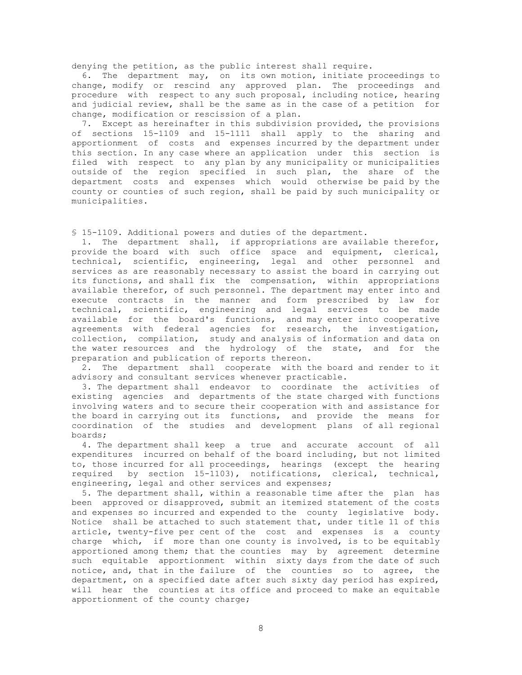denying the petition, as the public interest shall require.

 6. The department may, on its own motion, initiate proceedings to change, modify or rescind any approved plan. The proceedings and procedure with respect to any such proposal, including notice, hearing and judicial review, shall be the same as in the case of a petition for change, modification or rescission of a plan.

 7. Except as hereinafter in this subdivision provided, the provisions of sections 15-1109 and 15-1111 shall apply to the sharing and apportionment of costs and expenses incurred by the department under this section. In any case where an application under this section is filed with respect to any plan by any municipality or municipalities outside of the region specified in such plan, the share of the department costs and expenses which would otherwise be paid by the county or counties of such region, shall be paid by such municipality or municipalities.

§ 15-1109. Additional powers and duties of the department.

 1. The department shall, if appropriations are available therefor, provide the board with such office space and equipment, clerical, technical, scientific, engineering, legal and other personnel and services as are reasonably necessary to assist the board in carrying out its functions, and shall fix the compensation, within appropriations available therefor, of such personnel. The department may enter into and execute contracts in the manner and form prescribed by law for technical, scientific, engineering and legal services to be made available for the board's functions, and may enter into cooperative agreements with federal agencies for research, the investigation, collection, compilation, study and analysis of information and data on the water resources and the hydrology of the state, and for the preparation and publication of reports thereon.

 2. The department shall cooperate with the board and render to it advisory and consultant services whenever practicable.

 3. The department shall endeavor to coordinate the activities of existing agencies and departments of the state charged with functions involving waters and to secure their cooperation with and assistance for the board in carrying out its functions, and provide the means for coordination of the studies and development plans of all regional boards;

 4. The department shall keep a true and accurate account of all expenditures incurred on behalf of the board including, but not limited to, those incurred for all proceedings, hearings (except the hearing required by section 15-1103), notifications, clerical, technical, engineering, legal and other services and expenses;

 5. The department shall, within a reasonable time after the plan has been approved or disapproved, submit an itemized statement of the costs and expenses so incurred and expended to the county legislative body. Notice shall be attached to such statement that, under title 11 of this article, twenty-five per cent of the cost and expenses is a county charge which, if more than one county is involved, is to be equitably apportioned among them; that the counties may by agreement determine such equitable apportionment within sixty days from the date of such notice, and, that in the failure of the counties so to agree, the department, on a specified date after such sixty day period has expired, will hear the counties at its office and proceed to make an equitable apportionment of the county charge;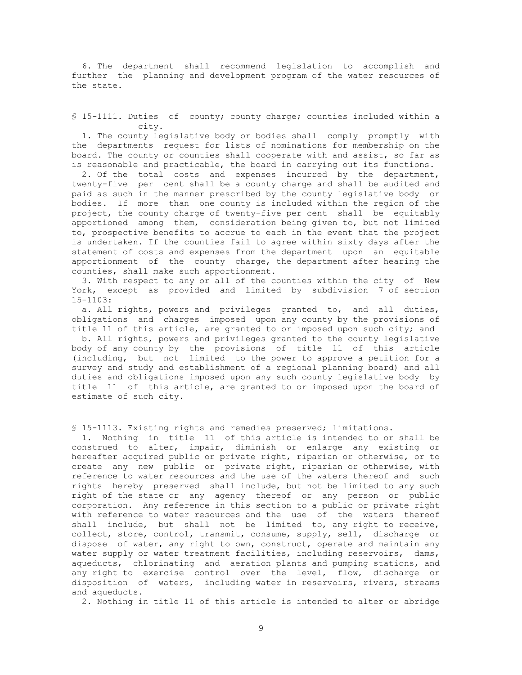6. The department shall recommend legislation to accomplish and further the planning and development program of the water resources of the state.

§ 15-1111. Duties of county; county charge; counties included within a city.

 1. The county legislative body or bodies shall comply promptly with the departments request for lists of nominations for membership on the board. The county or counties shall cooperate with and assist, so far as is reasonable and practicable, the board in carrying out its functions.

 2. Of the total costs and expenses incurred by the department, twenty-five per cent shall be a county charge and shall be audited and paid as such in the manner prescribed by the county legislative body or bodies. If more than one county is included within the region of the project, the county charge of twenty-five per cent shall be equitably apportioned among them, consideration being given to, but not limited to, prospective benefits to accrue to each in the event that the project is undertaken. If the counties fail to agree within sixty days after the statement of costs and expenses from the department upon an equitable apportionment of the county charge, the department after hearing the counties, shall make such apportionment.

 3. With respect to any or all of the counties within the city of New York, except as provided and limited by subdivision 7 of section 15-1103:

 a. All rights, powers and privileges granted to, and all duties, obligations and charges imposed upon any county by the provisions of title 11 of this article, are granted to or imposed upon such city; and

 b. All rights, powers and privileges granted to the county legislative body of any county by the provisions of title 11 of this article (including, but not limited to the power to approve a petition for a survey and study and establishment of a regional planning board) and all duties and obligations imposed upon any such county legislative body by title 11 of this article, are granted to or imposed upon the board of estimate of such city.

§ 15-1113. Existing rights and remedies preserved; limitations.

 1. Nothing in title 11 of this article is intended to or shall be construed to alter, impair, diminish or enlarge any existing or hereafter acquired public or private right, riparian or otherwise, or to create any new public or private right, riparian or otherwise, with reference to water resources and the use of the waters thereof and such rights hereby preserved shall include, but not be limited to any such right of the state or any agency thereof or any person or public corporation. Any reference in this section to a public or private right with reference to water resources and the use of the waters thereof shall include, but shall not be limited to, any right to receive, collect, store, control, transmit, consume, supply, sell, discharge or dispose of water, any right to own, construct, operate and maintain any water supply or water treatment facilities, including reservoirs, dams, aqueducts, chlorinating and aeration plants and pumping stations, and any right to exercise control over the level, flow, discharge or disposition of waters, including water in reservoirs, rivers, streams and aqueducts.

2. Nothing in title 11 of this article is intended to alter or abridge